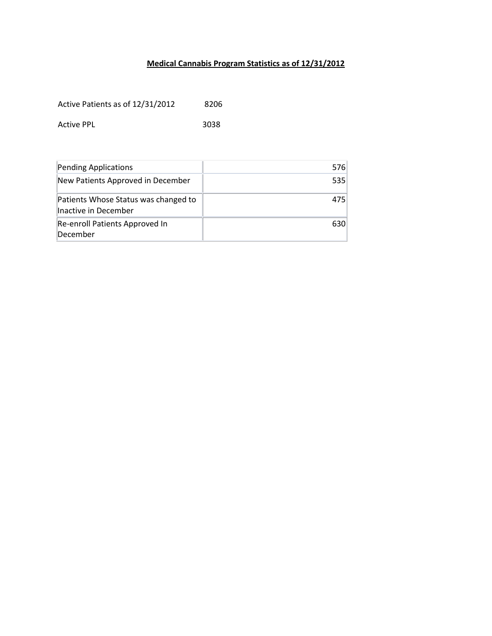## **Medical Cannabis Program Statistics as of 12/31/2012**

Active Patients as of 12/31/2012 8206

Active PPL 3038

| Pending Applications                                         | 576 |
|--------------------------------------------------------------|-----|
| New Patients Approved in December                            | 535 |
| Patients Whose Status was changed to<br>Inactive in December | 475 |
| Re-enroll Patients Approved In<br>December                   | 630 |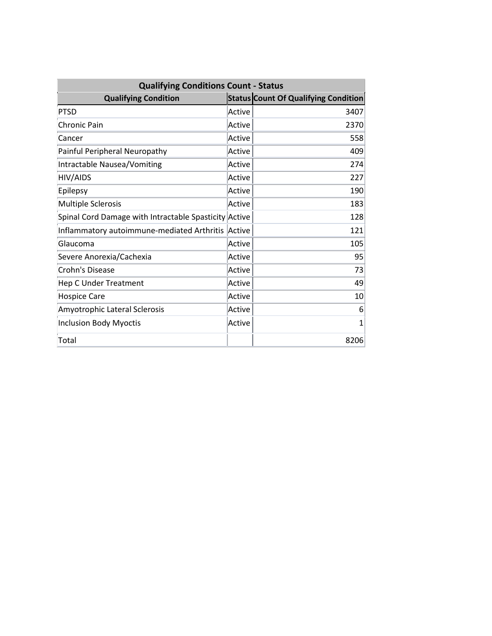| <b>Qualifying Conditions Count - Status</b>           |        |                                             |  |  |
|-------------------------------------------------------|--------|---------------------------------------------|--|--|
| <b>Qualifying Condition</b>                           |        | <b>Status Count Of Qualifying Condition</b> |  |  |
| <b>PTSD</b>                                           | Active | 3407                                        |  |  |
| <b>Chronic Pain</b>                                   | Active | 2370                                        |  |  |
| Cancer                                                | Active | 558                                         |  |  |
| Painful Peripheral Neuropathy                         | Active | 409                                         |  |  |
| Intractable Nausea/Vomiting                           | Active | 274                                         |  |  |
| <b>HIV/AIDS</b>                                       | Active | 227                                         |  |  |
| Epilepsy                                              | Active | 190                                         |  |  |
| <b>Multiple Sclerosis</b>                             | Active | 183                                         |  |  |
| Spinal Cord Damage with Intractable Spasticity Active |        | 128                                         |  |  |
| Inflammatory autoimmune-mediated Arthritis            | Active | 121                                         |  |  |
| Glaucoma                                              | Active | 105                                         |  |  |
| Severe Anorexia/Cachexia                              | Active | 95                                          |  |  |
| Crohn's Disease                                       | Active | 73                                          |  |  |
| <b>Hep C Under Treatment</b>                          | Active | 49                                          |  |  |
| <b>Hospice Care</b>                                   | Active | 10                                          |  |  |
| Amyotrophic Lateral Sclerosis                         | Active | 6                                           |  |  |
| <b>Inclusion Body Myoctis</b>                         | Active | $\mathbf{1}$                                |  |  |
| Total                                                 |        | 8206                                        |  |  |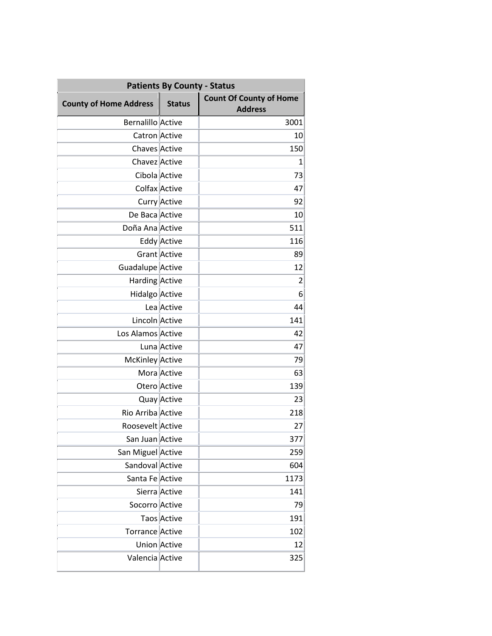| <b>Patients By County - Status</b> |                    |                                                  |  |
|------------------------------------|--------------------|--------------------------------------------------|--|
| <b>County of Home Address</b>      | <b>Status</b>      | <b>Count Of County of Home</b><br><b>Address</b> |  |
| <b>Bernalillo Active</b>           |                    | 3001                                             |  |
| Catron Active                      |                    | 10                                               |  |
| Chaves Active                      |                    | 150                                              |  |
| Chavez Active                      |                    | 1                                                |  |
| Cibola Active                      |                    | 73                                               |  |
| Colfax Active                      |                    | 47                                               |  |
|                                    | Curry Active       | 92                                               |  |
| De Baca Active                     |                    | 10                                               |  |
| Doña Ana Active                    |                    | 511                                              |  |
|                                    | <b>Eddy Active</b> | 116                                              |  |
|                                    | Grant Active       | 89                                               |  |
| Guadalupe Active                   |                    | 12                                               |  |
| Harding Active                     |                    | $\overline{2}$                                   |  |
| Hidalgo Active                     |                    | 6                                                |  |
|                                    | Lea Active         | 44                                               |  |
| Lincoln Active                     |                    | 141                                              |  |
| Los Alamos Active                  |                    | 42                                               |  |
|                                    | Luna Active        | 47                                               |  |
| McKinley Active                    |                    | 79                                               |  |
|                                    | Mora Active        | 63                                               |  |
|                                    | Otero Active       | 139                                              |  |
|                                    | Quay Active        | 23                                               |  |
| Rio Arriba Active                  |                    | 218                                              |  |
| Roosevelt Active                   |                    | 27                                               |  |
| San Juan Active                    |                    | 377                                              |  |
| San Miguel Active                  |                    | 259                                              |  |
| Sandoval Active                    |                    | 604                                              |  |
| Santa Fe Active                    |                    | 1173                                             |  |
|                                    | Sierra Active      | 141                                              |  |
| Socorro Active                     |                    | 79                                               |  |
|                                    | Taos Active        | 191                                              |  |
| Torrance Active                    |                    | 102                                              |  |
|                                    | Union Active       | 12                                               |  |
| Valencia Active                    |                    | 325                                              |  |